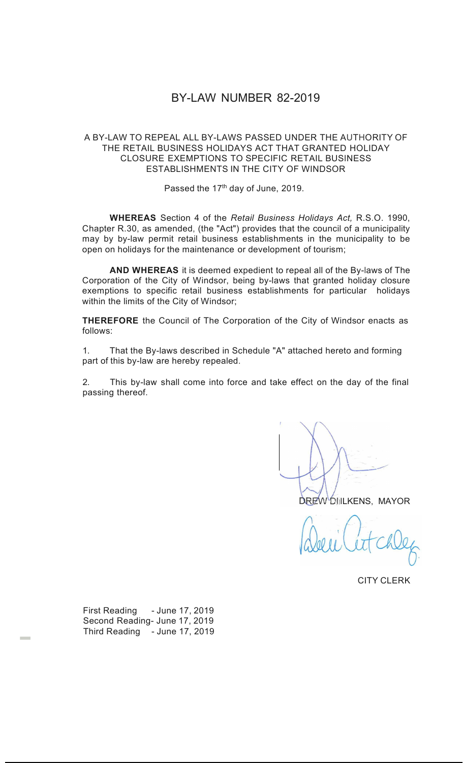## BY-LAW NUMBER 82-2019

## A BY-LAW TO REPEAL ALL BY-LAWS PASSED UNDER THE AUTHORITY OF THE RETAIL BUSINESS HOLIDAYS ACT THAT GRANTED HOLIDAY CLOSURE EXEMPTIONS TO SPECIFIC RETAIL BUSINESS ESTABLISHMENTS IN THE CITY OF WINDSOR

Passed the 17<sup>th</sup> day of June, 2019.

**WHEREAS** Section 4 of the *Retail Business Holidays Act,* R.S.O. 1990, Chapter R.30, as amended, (the "Act") provides that the council of a municipality may by by-law permit retail business establishments in the municipality to be open on holidays for the maintenance or development of tourism;

**AND WHEREAS** it is deemed expedient to repeal all of the By-laws of The Corporation of the City of Windsor, being by-laws that granted holiday closure exemptions to specific retail business establishments for particular holidays within the limits of the City of Windsor;

**THEREFORE** the Council of The Corporation of the City of Windsor enacts as follows:

1. That the By-laws described in Schedule "A" attached hereto and forming part of this by-law are hereby repealed.

2. This by-law shall come into force and take effect on the day of the final passing thereof.

DREW DILIKENS, MAYOR

CITY CLERK

First Reading - June 17, 2019 Second Reading- June 17, 2019 Third Reading - June 17, 2019

-